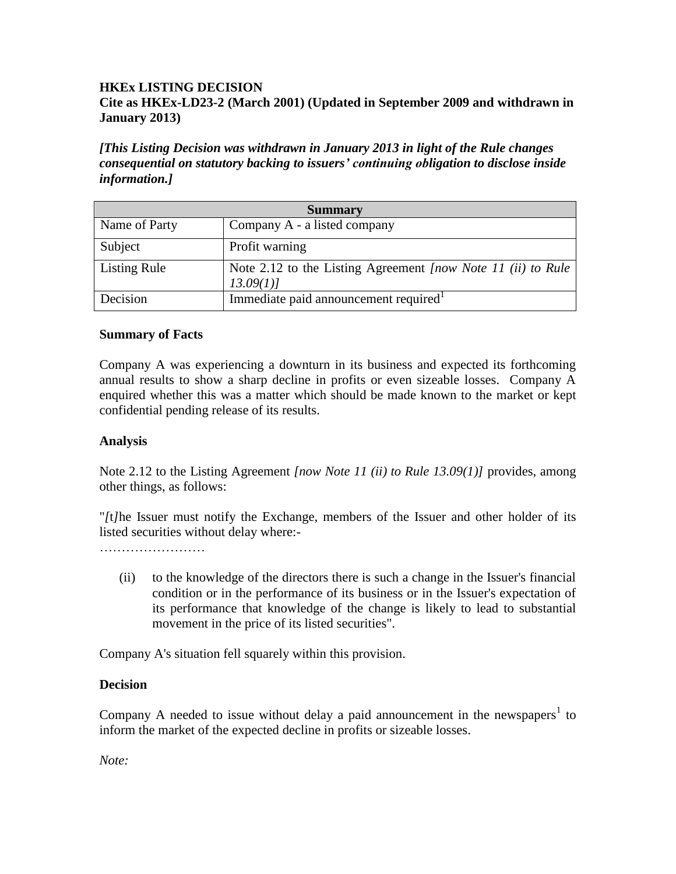## **HKEx LISTING DECISION Cite as HKEx-LD23-2 (March 2001) (Updated in September 2009 and withdrawn in January 2013)**

*[This Listing Decision was withdrawn in January 2013 in light of the Rule changes consequential on statutory backing to issuers' continuing obligation to disclose inside information.]*

| <b>Summary</b>      |                                                                          |
|---------------------|--------------------------------------------------------------------------|
| Name of Party       | Company A - a listed company                                             |
| Subject             | Profit warning                                                           |
| <b>Listing Rule</b> | Note 2.12 to the Listing Agreement [now Note 11 (ii) to Rule<br>13.09(1) |
| Decision            | Immediate paid announcement required                                     |

## **Summary of Facts**

Company A was experiencing a downturn in its business and expected its forthcoming annual results to show a sharp decline in profits or even sizeable losses. Company A enquired whether this was a matter which should be made known to the market or kept confidential pending release of its results.

## **Analysis**

Note 2.12 to the Listing Agreement *[now Note 11 (ii) to Rule 13.09(1)]* provides, among other things, as follows:

"*[*t*]*he Issuer must notify the Exchange, members of the Issuer and other holder of its listed securities without delay where:-

……………………

(ii) to the knowledge of the directors there is such a change in the Issuer's financial condition or in the performance of its business or in the Issuer's expectation of its performance that knowledge of the change is likely to lead to substantial movement in the price of its listed securities".

Company A's situation fell squarely within this provision.

## **Decision**

Company A needed to issue without delay a paid announcement in the newspapers<sup>1</sup> to inform the market of the expected decline in profits or sizeable losses.

*Note:*